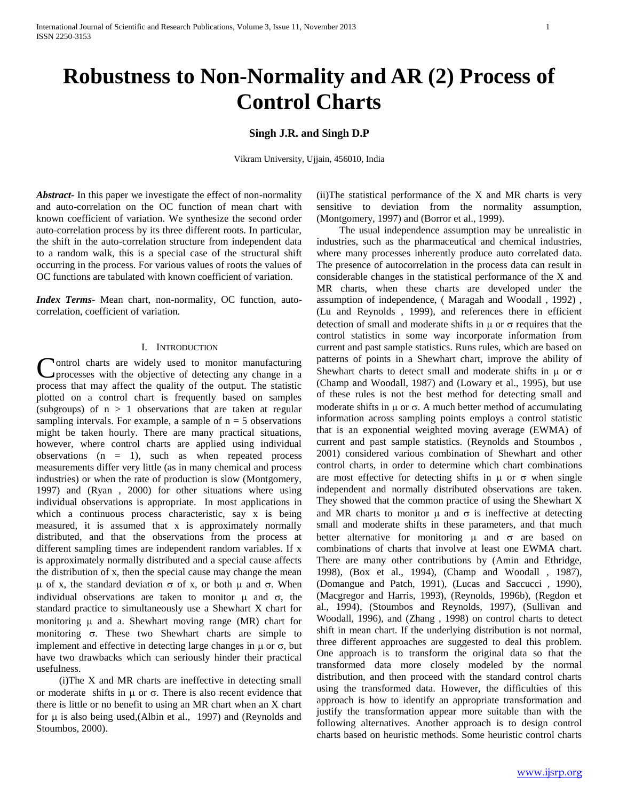# **Singh J.R. and Singh D.P**

Vikram University, Ujjain, 456010, India

*Abstract***-** In this paper we investigate the effect of non-normality and auto-correlation on the OC function of mean chart with known coefficient of variation. We synthesize the second order auto-correlation process by its three different roots. In particular, the shift in the auto-correlation structure from independent data to a random walk, this is a special case of the structural shift occurring in the process. For various values of roots the values of OC functions are tabulated with known coefficient of variation.

*Index Terms*- Mean chart, non-normality, OC function, autocorrelation, coefficient of variation.

## I. INTRODUCTION

**Nontrol** charts are widely used to monitor manufacturing Control charts are widely used to monitor manufacturing<br>processes with the objective of detecting any change in a process that may affect the quality of the output. The statistic plotted on a control chart is frequently based on samples (subgroups) of n > 1 observations that are taken at regular sampling intervals. For example, a sample of  $n = 5$  observations might be taken hourly. There are many practical situations, however, where control charts are applied using individual observations  $(n = 1)$ , such as when repeated process measurements differ very little (as in many chemical and process industries) or when the rate of production is slow (Montgomery, 1997) and (Ryan , 2000) for other situations where using individual observations is appropriate. In most applications in which a continuous process characteristic, say x is being measured, it is assumed that x is approximately normally distributed, and that the observations from the process at different sampling times are independent random variables. If x is approximately normally distributed and a special cause affects the distribution of x, then the special cause may change the mean  $\mu$  of x, the standard deviation  $\sigma$  of x, or both  $\mu$  and  $\sigma$ . When individual observations are taken to monitor  $\mu$  and  $\sigma$ , the standard practice to simultaneously use a Shewhart X chart for monitoring  $\mu$  and a. Shewhart moving range (MR) chart for monitoring  $\sigma$ . These two Shewhart charts are simple to implement and effective in detecting large changes in  $\mu$  or  $\sigma$ , but have two drawbacks which can seriously hinder their practical usefulness.

 (i)The X and MR charts are ineffective in detecting small or moderate shifts in  $\mu$  or  $\sigma$ . There is also recent evidence that there is little or no benefit to using an MR chart when an X chart for  $\mu$  is also being used,(Albin et al., 1997) and (Reynolds and Stoumbos, 2000).

(ii)The statistical performance of the X and MR charts is very sensitive to deviation from the normality assumption, (Montgomery, 1997) and (Borror et al., 1999).

 The usual independence assumption may be unrealistic in industries, such as the pharmaceutical and chemical industries, where many processes inherently produce auto correlated data. The presence of autocorrelation in the process data can result in considerable changes in the statistical performance of the X and MR charts, when these charts are developed under the assumption of independence, ( Maragah and Woodall , 1992) , (Lu and Reynolds , 1999), and references there in efficient detection of small and moderate shifts in  $\mu$  or  $\sigma$  requires that the control statistics in some way incorporate information from current and past sample statistics. Runs rules, which are based on patterns of points in a Shewhart chart, improve the ability of Shewhart charts to detect small and moderate shifts in  $\mu$  or  $\sigma$ (Champ and Woodall, 1987) and (Lowary et al., 1995), but use of these rules is not the best method for detecting small and moderate shifts in  $\mu$  or  $\sigma$ . A much better method of accumulating information across sampling points employs a control statistic that is an exponential weighted moving average (EWMA) of current and past sample statistics. (Reynolds and Stoumbos , 2001) considered various combination of Shewhart and other control charts, in order to determine which chart combinations are most effective for detecting shifts in  $\mu$  or  $\sigma$  when single independent and normally distributed observations are taken. They showed that the common practice of using the Shewhart X and MR charts to monitor  $\mu$  and  $\sigma$  is ineffective at detecting small and moderate shifts in these parameters, and that much better alternative for monitoring  $\mu$  and  $\sigma$  are based on combinations of charts that involve at least one EWMA chart. There are many other contributions by (Amin and Ethridge, 1998), (Box et al., 1994), (Champ and Woodall , 1987), (Domangue and Patch, 1991), (Lucas and Saccucci , 1990), (Macgregor and Harris, 1993), (Reynolds, 1996b), (Regdon et al., 1994), (Stoumbos and Reynolds, 1997), (Sullivan and Woodall, 1996), and (Zhang , 1998) on control charts to detect shift in mean chart. If the underlying distribution is not normal, three different approaches are suggested to deal this problem. One approach is to transform the original data so that the transformed data more closely modeled by the normal distribution, and then proceed with the standard control charts using the transformed data. However, the difficulties of this approach is how to identify an appropriate transformation and justify the transformation appear more suitable than with the following alternatives. Another approach is to design control charts based on heuristic methods. Some heuristic control charts

www.ijsrp.org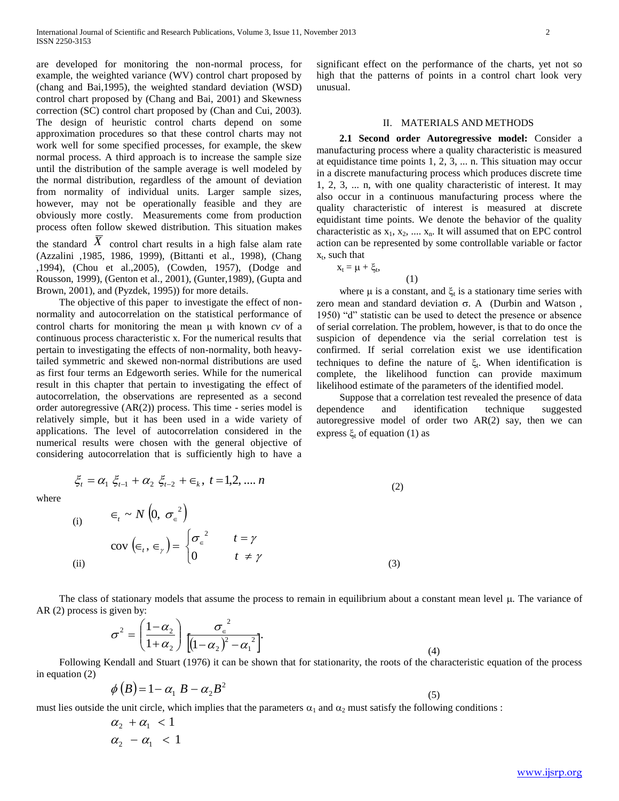are developed for monitoring the non-normal process, for example, the weighted variance (WV) control chart proposed by (chang and Bai,1995), the weighted standard deviation (WSD) control chart proposed by (Chang and Bai, 2001) and Skewness correction (SC) control chart proposed by (Chan and Cui, 2003). The design of heuristic control charts depend on some approximation procedures so that these control charts may not work well for some specified processes, for example, the skew normal process. A third approach is to increase the sample size until the distribution of the sample average is well modeled by the normal distribution, regardless of the amount of deviation from normality of individual units. Larger sample sizes, however, may not be operationally feasible and they are obviously more costly. Measurements come from production process often follow skewed distribution. This situation makes the standard  $\overline{X}$  control chart results in a high false alam rate (Azzalini ,1985, 1986, 1999), (Bittanti et al., 1998), (Chang

,1994), (Chou et al.,2005), (Cowden, 1957), (Dodge and Rousson, 1999), (Genton et al., 2001), (Gunter,1989), (Gupta and Brown, 2001), and (Pyzdek, 1995)) for more details.

 The objective of this paper to investigate the effect of nonnormality and autocorrelation on the statistical performance of control charts for monitoring the mean  $\mu$  with known *cv* of a continuous process characteristic x. For the numerical results that pertain to investigating the effects of non-normality, both heavytailed symmetric and skewed non-normal distributions are used as first four terms an Edgeworth series. While for the numerical result in this chapter that pertain to investigating the effect of autocorrelation, the observations are represented as a second order autoregressive  $(AR(2))$  process. This time - series model is relatively simple, but it has been used in a wide variety of applications. The level of autocorrelation considered in the numerical results were chosen with the general objective of considering autocorrelation that is sufficiently high to have a

significant effect on the performance of the charts, yet not so high that the patterns of points in a control chart look very unusual.

## II. MATERIALS AND METHODS

 **2.1 Second order Autoregressive model:** Consider a manufacturing process where a quality characteristic is measured at equidistance time points 1, 2, 3, ... n. This situation may occur in a discrete manufacturing process which produces discrete time 1, 2, 3, ... n, with one quality characteristic of interest. It may also occur in a continuous manufacturing process where the quality characteristic of interest is measured at discrete equidistant time points. We denote the behavior of the quality characteristic as  $x_1, x_2, \ldots, x_n$ . It will assumed that on EPC control action can be represented by some controllable variable or factor  $x_t$ , such that

$$
x_t = \mu + \xi_t, \tag{1}
$$

where  $\mu$  is a constant, and  $\xi_t$  is a stationary time series with zero mean and standard deviation  $\sigma$ . A (Durbin and Watson, 1950) "d" statistic can be used to detect the presence or absence of serial correlation. The problem, however, is that to do once the suspicion of dependence via the serial correlation test is confirmed. If serial correlation exist we use identification techniques to define the nature of  $\xi_t$ . When identification is complete, the likelihood function can provide maximum likelihood estimate of the parameters of the identified model.

 Suppose that a correlation test revealed the presence of data dependence and identification technique suggested autoregressive model of order two AR(2) say, then we can express  $\xi_t$  of equation (1) as

(4)

where

 $\xi_t = \alpha_1 \xi_{t-1} + \alpha_2 \xi_{t-2} + \epsilon_k, t = 1, 2, ..., n$  (2)  $(i)$  $\epsilon_t \sim N\left(0, \sigma_{\epsilon}^2\right)$ (ii)  $(\infty, \infty)$  $\overline{\mathcal{L}}$ ┤  $\int$  $\neq$  $(\epsilon_{t}, \epsilon_{t}) = \begin{cases} \sigma_{\epsilon}^{2} & t = 1 \end{cases}$ γ  $\sigma_{\epsilon}$   $t = \gamma$  $\begin{vmatrix} t \end{vmatrix}$   $\begin{vmatrix} 0 & t \end{vmatrix}$ *t*  $\left( \begin{array}{c} a & b \\ c & d \end{array} \right)$ cov  $(\in_t,$ 2 (3)

The class of stationary models that assume the process to remain in equilibrium about a constant mean level  $\mu$ . The variance of AR (2) process is given by:

$$
\sigma^2 = \left(\frac{1-\alpha_2}{1+\alpha_2}\right) \frac{\sigma_{\epsilon}^2}{\left[(1-\alpha_2)^2 - \alpha_1^2\right]}.
$$

 Following Kendall and Stuart (1976) it can be shown that for stationarity, the roots of the characteristic equation of the process in equation (2)

$$
\phi(B) = 1 - \alpha_1 B - \alpha_2 B^2 \tag{5}
$$

must lies outside the unit circle, which implies that the parameters  $\alpha_1$  and  $\alpha_2$  must satisfy the following conditions :

$$
\begin{array}{c}\n\alpha_2 + \alpha_1 < 1 \\
\alpha_2 - \alpha_1 < 1\n\end{array}
$$

www.ijsrp.org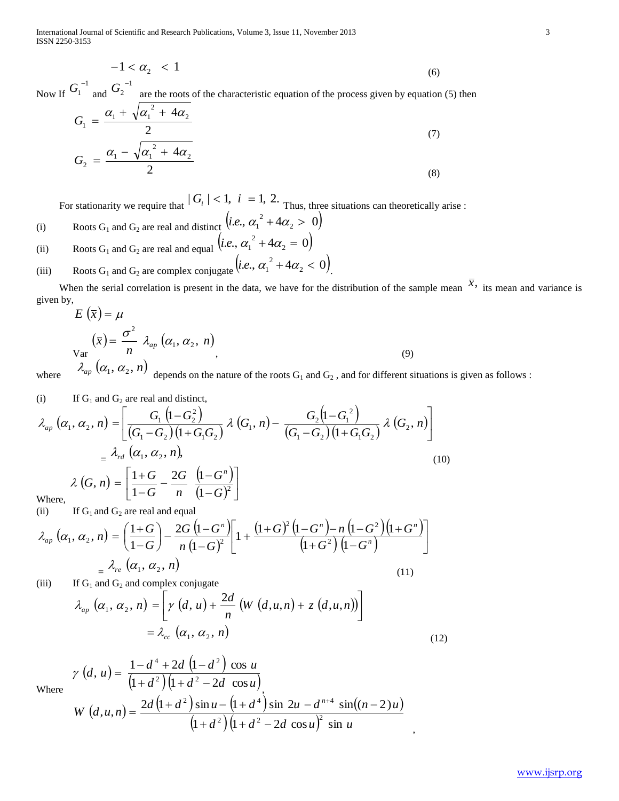International Journal of Scientific and Research Publications, Volume 3, Issue 11, November 2013 3 ISSN 2250-3153

$$
-1 < \alpha_2 < 1 \tag{6}
$$

Now If 1  $G_1^{-1}$  and 1  $G_2^{-1}$  are the roots of the characteristic equation of the process given by equation (5) then

$$
G_1 = \frac{\alpha_1 + \sqrt{\alpha_1^2 + 4\alpha_2}}{2}
$$
  
\n
$$
G_2 = \frac{\alpha_1 - \sqrt{\alpha_1^2 + 4\alpha_2}}{2}
$$
\n(7)

For stationarity we require that  $|G_i| < 1$ ,  $i = 1, 2$ . Thus, three situations can theoretically arise :

\n- (i) Roots 
$$
G_1
$$
 and  $G_2$  are real and distinct  $(i.e., \alpha_1^2 + 4\alpha_2 > 0)$
\n- (ii) Roots  $G_1$  and  $G_2$  are real and equal  $(i.e., \alpha_1^2 + 4\alpha_2 = 0)$
\n- (iii) Roots  $G_1$  and  $G_2$  are complex conjugate  $(i.e., \alpha_1^2 + 4\alpha_2 < 0)$
\n

When the serial correlation is present in the data, we have for the distribution of the sample mean  $\bar{x}$ , its mean and variance is given by,  $E(\bar{x}) = \mu$ 

.

$$
E(x) = \mu
$$
  
\n
$$
\begin{aligned}\n\text{Var} \\
\chi_{\text{ar}}\n\end{aligned} \begin{pmatrix}\n\overline{x} = \frac{\sigma^2}{n} \lambda_{ap} (\alpha_1, \alpha_2, n) \\
\lambda_{ap} (\alpha_1, \alpha_2, n)\n\end{pmatrix} (9)
$$

where

 $\lambda_{ap}\left(\alpha_1, \alpha_2, n\right)$  depends on the nature of the roots  $G_1$  and  $G_2$ , and for different situations is given as follows :

(i) If 
$$
G_1
$$
 and  $G_2$  are real and distinct,

$$
\lambda_{ap} (\alpha_1, \alpha_2, n) = \left[ \frac{G_1 (1 - G_2^2)}{(G_1 - G_2)(1 + G_1 G_2)} \lambda (G_1, n) - \frac{G_2 (1 - G_1^2)}{(G_1 - G_2)(1 + G_1 G_2)} \lambda (G_2, n) \right]
$$
\n
$$
= \lambda_{rd} (\alpha_1, \alpha_2, n),
$$
\n
$$
\lambda (G, n) = \left[ \frac{1 + G}{1 - G} - \frac{2G}{n} \frac{(1 - G^n)}{(1 - G)^2} \right]
$$
\nWhere, (10)

(ii) If  $G_1$  and  $G_2$  are real and equal

$$
\lambda_{ap} \left( \alpha_1, \alpha_2, n \right) = \left( \frac{1+G}{1-G} \right) - \frac{2G \left( 1-G^n \right)}{n \left( 1-G \right)^2} \left[ 1 + \frac{\left( 1+G \right)^2 \left( 1-G^n \right) - n \left( 1-G^2 \right) \left( 1+G^n \right)}{\left( 1+G^2 \right) \left( 1-G^n \right)} \right]
$$
\n
$$
= \lambda_{re} \left( \alpha_1, \alpha_2, n \right) \tag{11}
$$

(iii) If  $G_1$  and  $G_2$  and complex conjugate

$$
\lambda_{ap}(\alpha_1, \alpha_2, n) = \left[ \gamma (d, u) + \frac{2d}{n} (W (d, u, n) + z (d, u, n)) \right]
$$
  
=  $\lambda_{cc} (\alpha_1, \alpha_2, n)$  (12)

Where

$$
\gamma(d, u) = \frac{1 - d^4 + 2d (1 - d^2) \cos u}{(1 + d^2)(1 + d^2 - 2d \cos u)}
$$
  
W (d,u,n) = 
$$
\frac{2d (1 + d^2) \sin u - (1 + d^4) \sin 2u - d^{n+4} \sin((n-2)u)}{(1 + d^2)(1 + d^2 - 2d \cos u)^2 \sin u}
$$

 $^{4}$   $\sqrt{7}$   $\sqrt{1}$   $\sqrt{2}$ 

,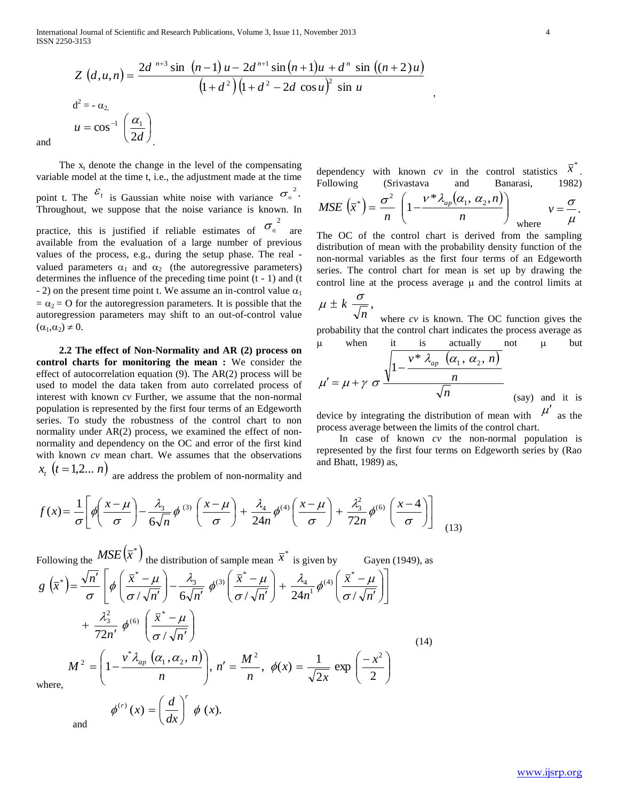International Journal of Scientific and Research Publications, Volume 3, Issue 11, November 2013 4 ISSN 2250-3153

$$
Z\left(d, u, n\right) = \frac{2d^{n+3} \sin (n-1)u - 2d^{n+1} \sin (n+1)u + d^n \sin ((n+2)u)}{\left(1 + d^2\right)\left(1 + d^2 - 2d \cos u\right)^2 \sin u}
$$
  

$$
u = \cos^{-1}\left(\frac{\alpha_1}{2d}\right)
$$

and

The  $x_t$  denote the change in the level of the compensating variable model at the time t, i.e., the adjustment made at the time point t. The  $\epsilon_t$  is Gaussian white noise with variance  $\sigma_{\epsilon}^2$ . Throughout, we suppose that the noise variance is known. In practice, this is justified if reliable estimates of  $\sigma_{\epsilon}^2$  are available from the evaluation of a large number of previous values of the process, e.g., during the setup phase. The real valued parameters  $\alpha_1$  and  $\alpha_2$  (the autoregressive parameters) determines the influence of the preceding time point (t - 1) and (t - 2) on the present time point t. We assume an in-control value  $\alpha_1$  $= \alpha_2 = O$  for the autoregression parameters. It is possible that the autoregression parameters may shift to an out-of-control value  $(\alpha_1,\alpha_2) \neq 0.$ 

 **2.2 The effect of Non-Normality and AR (2) process on control charts for monitoring the mean :** We consider the effect of autocorrelation equation (9). The AR(2) process will be used to model the data taken from auto correlated process of interest with known *cv* Further, we assume that the non-normal population is represented by the first four terms of an Edgeworth series. To study the robustness of the control chart to non normality under AR(2) process, we examined the effect of nonnormality and dependency on the OC and error of the first kind with known *cv* mean chart. We assumes that the observations  $x_t$   $(t = 1,2... n)$  are address the problem of non-normality and

*dx*

 $\setminus$ 

 $\bigg)$ 

\n dependency with known 
$$
cv
$$
 in the control statistics  $\overline{x}^*$ . Following (Srivastava and Banarasi, 1982).\n

,

$$
MSE\left(\overline{x}^*\right) = \frac{\sigma^2}{n} \left(1 - \frac{v^*\lambda_{ap}(\alpha_1, \alpha_2, n)}{n}\right) \quad \text{where} \quad v = \frac{\sigma}{\mu}.
$$

The OC of the control chart is derived from the sampling distribution of mean with the probability density function of the non-normal variables as the first four terms of an Edgeworth series. The control chart for mean is set up by drawing the control line at the process average  $\mu$  and the control limits at

$$
\mu \pm k \frac{\sigma}{\sqrt{n}},
$$

where *cv* is known. The OC function gives the probability that the control chart indicates the process average as  $\mu$  when it is actually not  $\mu$  but

$$
\mu' = \mu + \gamma \sigma \frac{\sqrt{1 - \frac{v^* \lambda_{ap}}{n} (\alpha_1, \alpha_2, n)}}{\sqrt{n}}
$$
 (say) and it is

device by integrating the distribution of mean with  $\mu'$  as the process average between the limits of the control chart.

 In case of known *cv* the non-normal population is represented by the first four terms on Edgeworth series by (Rao and Bhatt, 1989) as,

$$
f(x) = \frac{1}{\sigma} \left[ \phi \left( \frac{x - \mu}{\sigma} \right) - \frac{\lambda_3}{6\sqrt{n}} \phi^{(3)} \left( \frac{x - \mu}{\sigma} \right) + \frac{\lambda_4}{24n} \phi^{(4)} \left( \frac{x - \mu}{\sigma} \right) + \frac{\lambda_3^2}{72n} \phi^{(6)} \left( \frac{x - 4}{\sigma} \right) \right]
$$
(13)

Following the 
$$
MSE(\bar{x}^*)
$$
 the distribution of sample mean  $\bar{x}^*$  is given by  
\n
$$
g(\bar{x}^*) = \frac{\sqrt{n'}}{\sigma} \left[ \phi\left(\frac{\bar{x}^* - \mu}{\sigma/\sqrt{n'}}\right) - \frac{\lambda_3}{6\sqrt{n'}} \phi^{(3)}\left(\frac{\bar{x}^* - \mu}{\sigma/\sqrt{n'}}\right) + \frac{\lambda_4}{24n^1} \phi^{(4)}\left(\frac{\bar{x}^* - \mu}{\sigma/\sqrt{n'}}\right) \right]
$$
\n
$$
+ \frac{\lambda_3^2}{72n^7} \phi^{(6)}\left(\frac{\bar{x}^* - \mu}{\sigma/\sqrt{n'}}\right)
$$
\n
$$
M^2 = \left(1 - \frac{v^* \lambda_{ap} (\alpha_1, \alpha_2, n)}{n}\right), n' = \frac{M^2}{n}, \phi(x) = \frac{1}{\sqrt{2x}} \exp\left(\frac{-x^2}{2}\right)
$$
\nwhere,  
\n
$$
\phi^{(r)}(x) = \left(\frac{d}{x}\right)^r \phi(x).
$$
\n(14)

and

www.ijsrp.org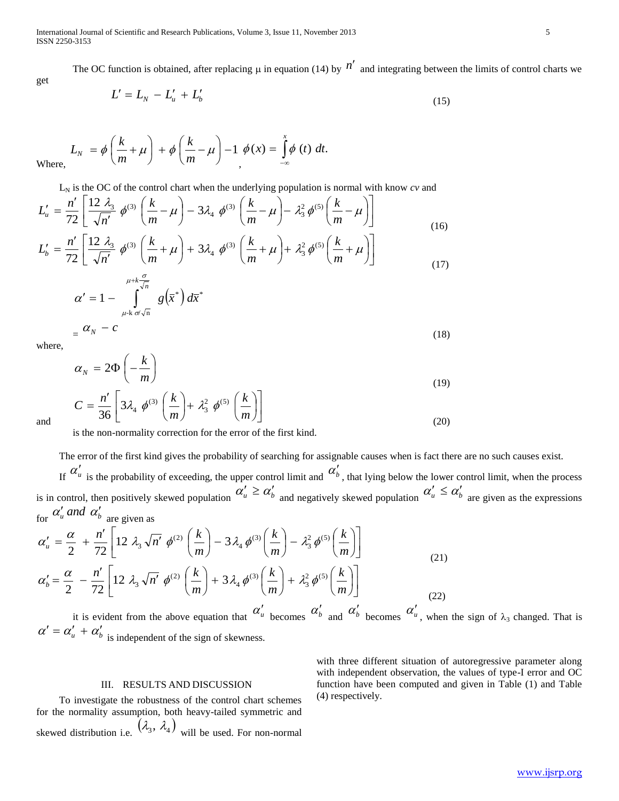The OC function is obtained, after replacing  $\mu$  in equation (14) by  $n'$  and integrating between the limits of control charts we

$$
L' = L_N - L'_u + L'_b \tag{15}
$$

Wh

get

$$
L_N = \phi\left(\frac{k}{m} + \mu\right) + \phi\left(\frac{k}{m} - \mu\right) - 1 \phi(x) = \int_{-\infty}^{x} \phi(t) dt.
$$

 $L_N$  is the OC of the control chart when the underlying population is normal with know  $cv$  and

$$
L'_{u} = \frac{n'}{72} \left[ \frac{12 \lambda_3}{\sqrt{n'}} \phi^{(3)} \left( \frac{k}{m} - \mu \right) - 3\lambda_4 \phi^{(3)} \left( \frac{k}{m} - \mu \right) - \lambda_3^2 \phi^{(5)} \left( \frac{k}{m} - \mu \right) \right]
$$
(16)

$$
L'_{b} = \frac{n'}{72} \left[ \frac{12 \lambda_{3}}{\sqrt{n'}} \phi^{(3)} \left( \frac{k}{m} + \mu \right) + 3\lambda_{4} \phi^{(3)} \left( \frac{k}{m} + \mu \right) + \lambda_{3}^{2} \phi^{(5)} \left( \frac{k}{m} + \mu \right) \right]
$$
(17)

$$
\alpha' = 1 - \int_{\mu + k \sigma \sqrt{n}}^{\mu + k \frac{\sqrt{n}}{\sqrt{n}}} g(\overline{x}^*) d\overline{x}^*
$$
  
=  $\alpha_N - c$  (18)

where,

$$
\alpha_N = 2\Phi\left(-\frac{k}{m}\right)
$$
  
\n
$$
C = \frac{n'}{36} \left[3\lambda_4 \phi^{(3)}\left(\frac{k}{m}\right) + \lambda_3^2 \phi^{(5)}\left(\frac{k}{m}\right)\right]
$$
\n(19)

and

is the non-normality correction for the error of the first kind.

The error of the first kind gives the probability of searching for assignable causes when is fact there are no such causes exist.

If  $\alpha'_\mu$  is the probability of exceeding, the upper control limit and  $\alpha'_b$ , that lying below the lower control limit, when the process is in control, then positively skewed population  $\alpha'_u \geq \alpha'_b$  and negatively skewed population  $\alpha'_u \leq \alpha'_b$  are given as the expressions for  $\alpha'_u$  *and*  $\alpha'_b$  are given as

$$
\alpha'_{u} = \frac{\alpha}{2} + \frac{n'}{72} \left[ 12 \ \lambda_{3} \sqrt{n'} \ \phi^{(2)} \left( \frac{k}{m} \right) - 3 \lambda_{4} \phi^{(3)} \left( \frac{k}{m} \right) - \lambda_{3}^{2} \phi^{(5)} \left( \frac{k}{m} \right) \right]
$$
\n
$$
\alpha'_{b} = \frac{\alpha}{2} - \frac{n'}{72} \left[ 12 \ \lambda_{3} \sqrt{n'} \ \phi^{(2)} \left( \frac{k}{m} \right) + 3 \lambda_{4} \phi^{(3)} \left( \frac{k}{m} \right) + \lambda_{3}^{2} \phi^{(5)} \left( \frac{k}{m} \right) \right]
$$
\n(21)

it is evident from the above equation that  $\alpha'_\mu$  becomes  $\alpha'_b$  and  $\alpha'_b$  becomes  $\alpha'_u$ , when the sign of  $\lambda_3$  changed. That is  $\alpha' = \alpha'_u + \alpha'_b$  is independent of the sign of skewness.

# III. RESULTS AND DISCUSSION

 To investigate the robustness of the control chart schemes for the normality assumption, both heavy-tailed symmetric and skewed distribution i.e.  $(\lambda_3, \lambda_4)$  will be used. For non-normal with three different situation of autoregressive parameter along with independent observation, the values of type-I error and OC function have been computed and given in Table (1) and Table (4) respectively.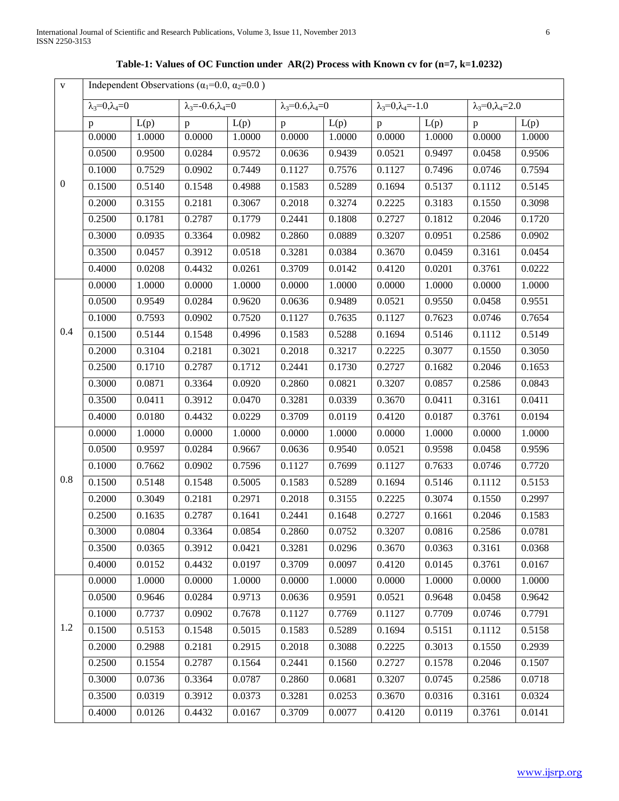0

0.4

0.8

1.2

| $\mathbf{v}$   |                            |                                                              |                                   |        |                              |        |                                   |        |                                  |        |  |
|----------------|----------------------------|--------------------------------------------------------------|-----------------------------------|--------|------------------------------|--------|-----------------------------------|--------|----------------------------------|--------|--|
|                |                            | Independent Observations ( $\alpha_1$ =0.0, $\alpha_2$ =0.0) |                                   |        |                              |        |                                   |        |                                  |        |  |
|                | $\lambda_3=0, \lambda_4=0$ |                                                              | $\lambda_3 = -0.6, \lambda_4 = 0$ |        | $\lambda_3=0.6, \lambda_4=0$ |        | $\lambda_3 = 0, \lambda_4 = -1.0$ |        | $\lambda_3 = 0, \lambda_4 = 2.0$ |        |  |
|                | $\mathbf{p}$               | L(p)                                                         | p                                 | L(p)   | p                            | L(p)   | $\mathbf{p}$                      | L(p)   | $\mathbf{p}$                     | L(p)   |  |
|                | 0.0000                     | 1.0000                                                       | 0.0000                            | 1.0000 | 0.0000                       | 1.0000 | 0.0000                            | 1.0000 | 0.0000                           | 1.0000 |  |
|                | 0.0500                     | 0.9500                                                       | 0.0284                            | 0.9572 | 0.0636                       | 0.9439 | 0.0521                            | 0.9497 | 0.0458                           | 0.9506 |  |
|                | 0.1000                     | 0.7529                                                       | 0.0902                            | 0.7449 | 0.1127                       | 0.7576 | 0.1127                            | 0.7496 | 0.0746                           | 0.7594 |  |
| $\overline{0}$ | 0.1500                     | 0.5140                                                       | 0.1548                            | 0.4988 | 0.1583                       | 0.5289 | 0.1694                            | 0.5137 | 0.1112                           | 0.5145 |  |
|                | 0.2000                     | 0.3155                                                       | 0.2181                            | 0.3067 | 0.2018                       | 0.3274 | 0.2225                            | 0.3183 | 0.1550                           | 0.3098 |  |
|                | 0.2500                     | 0.1781                                                       | 0.2787                            | 0.1779 | 0.2441                       | 0.1808 | 0.2727                            | 0.1812 | 0.2046                           | 0.1720 |  |
|                | 0.3000                     | 0.0935                                                       | 0.3364                            | 0.0982 | 0.2860                       | 0.0889 | 0.3207                            | 0.0951 | 0.2586                           | 0.0902 |  |
|                | 0.3500                     | 0.0457                                                       | 0.3912                            | 0.0518 | 0.3281                       | 0.0384 | 0.3670                            | 0.0459 | 0.3161                           | 0.0454 |  |
|                | 0.4000                     | 0.0208                                                       | 0.4432                            | 0.0261 | 0.3709                       | 0.0142 | 0.4120                            | 0.0201 | 0.3761                           | 0.0222 |  |
|                | 0.0000                     | 1.0000                                                       | 0.0000                            | 1.0000 | 0.0000                       | 1.0000 | 0.0000                            | 1.0000 | 0.0000                           | 1.0000 |  |
|                | 0.0500                     | 0.9549                                                       | 0.0284                            | 0.9620 | 0.0636                       | 0.9489 | 0.0521                            | 0.9550 | 0.0458                           | 0.9551 |  |
|                | 0.1000                     | 0.7593                                                       | 0.0902                            | 0.7520 | 0.1127                       | 0.7635 | 0.1127                            | 0.7623 | 0.0746                           | 0.7654 |  |
| 0.4            | 0.1500                     | 0.5144                                                       | 0.1548                            | 0.4996 | 0.1583                       | 0.5288 | 0.1694                            | 0.5146 | 0.1112                           | 0.5149 |  |
|                | 0.2000                     | 0.3104                                                       | 0.2181                            | 0.3021 | 0.2018                       | 0.3217 | 0.2225                            | 0.3077 | 0.1550                           | 0.3050 |  |
|                | 0.2500                     | 0.1710                                                       | 0.2787                            | 0.1712 | 0.2441                       | 0.1730 | 0.2727                            | 0.1682 | 0.2046                           | 0.1653 |  |
|                | 0.3000                     | 0.0871                                                       | 0.3364                            | 0.0920 | 0.2860                       | 0.0821 | 0.3207                            | 0.0857 | 0.2586                           | 0.0843 |  |
|                | 0.3500                     | 0.0411                                                       | 0.3912                            | 0.0470 | 0.3281                       | 0.0339 | 0.3670                            | 0.0411 | 0.3161                           | 0.0411 |  |
|                | 0.4000                     | 0.0180                                                       | 0.4432                            | 0.0229 | 0.3709                       | 0.0119 | 0.4120                            | 0.0187 | 0.3761                           | 0.0194 |  |
|                | 0.0000                     | 1.0000                                                       | 0.0000                            | 1.0000 | 0.0000                       | 1.0000 | 0.0000                            | 1.0000 | 0.0000                           | 1.0000 |  |
|                | 0.0500                     | 0.9597                                                       | 0.0284                            | 0.9667 | 0.0636                       | 0.9540 | 0.0521                            | 0.9598 | 0.0458                           | 0.9596 |  |
|                | 0.1000                     | 0.7662                                                       | 0.0902                            | 0.7596 | 0.1127                       | 0.7699 | 0.1127                            | 0.7633 | 0.0746                           | 0.7720 |  |
| 0.8            | 0.1500                     | 0.5148                                                       | 0.1548                            | 0.5005 | 0.1583                       | 0.5289 | 0.1694                            | 0.5146 | 0.1112                           | 0.5153 |  |
|                | 0.2000                     | 0.3049                                                       | 0.2181                            | 0.2971 | 0.2018                       | 0.3155 | 0.2225                            | 0.3074 | 0.1550                           | 0.2997 |  |
|                | 0.2500                     | 0.1635                                                       | 0.2787                            | 0.1641 | 0.2441                       | 0.1648 | 0.2727                            | 0.1661 | 0.2046                           | 0.1583 |  |
|                | 0.3000                     | 0.0804                                                       | 0.3364                            | 0.0854 | 0.2860                       | 0.0752 | 0.3207                            | 0.0816 | 0.2586                           | 0.0781 |  |
|                | 0.3500                     | 0.0365                                                       | 0.3912                            | 0.0421 | 0.3281                       | 0.0296 | 0.3670                            | 0.0363 | 0.3161                           | 0.0368 |  |
|                | 0.4000                     | 0.0152                                                       | 0.4432                            | 0.0197 | 0.3709                       | 0.0097 | 0.4120                            | 0.0145 | 0.3761                           | 0.0167 |  |
|                | 0.0000                     | 1.0000                                                       | 0.0000                            | 1.0000 | 0.0000                       | 1.0000 | 0.0000                            | 1.0000 | 0.0000                           | 1.0000 |  |
|                | 0.0500                     | 0.9646                                                       | 0.0284                            | 0.9713 | 0.0636                       | 0.9591 | 0.0521                            | 0.9648 | 0.0458                           | 0.9642 |  |
|                | 0.1000                     | 0.7737                                                       | 0.0902                            | 0.7678 | 0.1127                       | 0.7769 | 0.1127                            | 0.7709 | 0.0746                           | 0.7791 |  |
| 1.2            | 0.1500                     | 0.5153                                                       | 0.1548                            | 0.5015 | 0.1583                       | 0.5289 | 0.1694                            | 0.5151 | 0.1112                           | 0.5158 |  |
|                | 0.2000                     | 0.2988                                                       | 0.2181                            | 0.2915 | 0.2018                       | 0.3088 | 0.2225                            | 0.3013 | 0.1550                           | 0.2939 |  |
|                | 0.2500                     | 0.1554                                                       | 0.2787                            | 0.1564 | 0.2441                       | 0.1560 | 0.2727                            | 0.1578 | 0.2046                           | 0.1507 |  |
|                | 0.3000                     | 0.0736                                                       | 0.3364                            | 0.0787 | 0.2860                       | 0.0681 | 0.3207                            | 0.0745 | 0.2586                           | 0.0718 |  |

0.3500 0.0319 0.3912 0.0373 0.3281 0.0253 0.3670 0.0316 0.3161 0.0324 0.4000 0.0126 0.4432 0.0167 0.3709 0.0077 0.4120 0.0119 0.3761 0.0141

**Table-1: Values of OC Function under AR(2) Process with Known cv for (n=7, k=1.0232)**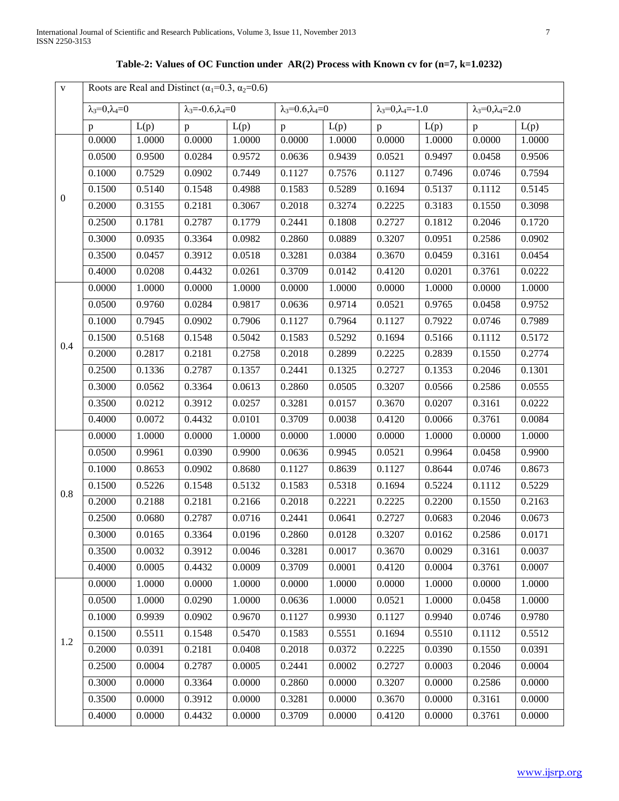# **Table-2: Values of OC Function under AR(2) Process with Known cv for (n=7, k=1.0232)**

| $\mathbf{V}$     | Roots are Real and Distinct ( $\alpha_1$ =0.3, $\alpha_2$ =0.6) |        |                                   |        |                                  |        |                                   |        |                                  |        |
|------------------|-----------------------------------------------------------------|--------|-----------------------------------|--------|----------------------------------|--------|-----------------------------------|--------|----------------------------------|--------|
|                  | $\lambda_3=0, \lambda_4=0$                                      |        | $\lambda_3 = -0.6, \lambda_4 = 0$ |        | $\lambda_3 = 0.6, \lambda_4 = 0$ |        | $\lambda_3 = 0, \lambda_4 = -1.0$ |        | $\lambda_3 = 0, \lambda_4 = 2.0$ |        |
|                  | $\, {\bf p}$                                                    | L(p)   | $\, {\bf p}$                      | L(p)   | $\mathbf{p}$                     | L(p)   | $\, {\bf p}$                      | L(p)   | $\mathbf{p}$                     | L(p)   |
|                  | 0.0000                                                          | 1.0000 | 0.0000                            | 1.0000 | 0.0000                           | 1.0000 | 0.0000                            | 1.0000 | 0.0000                           | 1.0000 |
|                  | 0.0500                                                          | 0.9500 | 0.0284                            | 0.9572 | 0.0636                           | 0.9439 | 0.0521                            | 0.9497 | 0.0458                           | 0.9506 |
|                  | 0.1000                                                          | 0.7529 | 0.0902                            | 0.7449 | 0.1127                           | 0.7576 | 0.1127                            | 0.7496 | 0.0746                           | 0.7594 |
| $\boldsymbol{0}$ | 0.1500                                                          | 0.5140 | 0.1548                            | 0.4988 | 0.1583                           | 0.5289 | 0.1694                            | 0.5137 | 0.1112                           | 0.5145 |
|                  | 0.2000                                                          | 0.3155 | 0.2181                            | 0.3067 | 0.2018                           | 0.3274 | 0.2225                            | 0.3183 | 0.1550                           | 0.3098 |
|                  | 0.2500                                                          | 0.1781 | 0.2787                            | 0.1779 | 0.2441                           | 0.1808 | 0.2727                            | 0.1812 | 0.2046                           | 0.1720 |
|                  | 0.3000                                                          | 0.0935 | 0.3364                            | 0.0982 | 0.2860                           | 0.0889 | 0.3207                            | 0.0951 | 0.2586                           | 0.0902 |
|                  | 0.3500                                                          | 0.0457 | 0.3912                            | 0.0518 | 0.3281                           | 0.0384 | 0.3670                            | 0.0459 | 0.3161                           | 0.0454 |
|                  | 0.4000                                                          | 0.0208 | 0.4432                            | 0.0261 | 0.3709                           | 0.0142 | 0.4120                            | 0.0201 | 0.3761                           | 0.0222 |
|                  | 0.0000                                                          | 1.0000 | 0.0000                            | 1.0000 | 0.0000                           | 1.0000 | 0.0000                            | 1.0000 | 0.0000                           | 1.0000 |
|                  | 0.0500                                                          | 0.9760 | 0.0284                            | 0.9817 | 0.0636                           | 0.9714 | 0.0521                            | 0.9765 | 0.0458                           | 0.9752 |
|                  | 0.1000                                                          | 0.7945 | 0.0902                            | 0.7906 | 0.1127                           | 0.7964 | 0.1127                            | 0.7922 | 0.0746                           | 0.7989 |
| 0.4              | 0.1500                                                          | 0.5168 | 0.1548                            | 0.5042 | 0.1583                           | 0.5292 | 0.1694                            | 0.5166 | 0.1112                           | 0.5172 |
|                  | 0.2000                                                          | 0.2817 | 0.2181                            | 0.2758 | 0.2018                           | 0.2899 | 0.2225                            | 0.2839 | 0.1550                           | 0.2774 |
|                  | 0.2500                                                          | 0.1336 | 0.2787                            | 0.1357 | 0.2441                           | 0.1325 | 0.2727                            | 0.1353 | 0.2046                           | 0.1301 |
|                  | 0.3000                                                          | 0.0562 | 0.3364                            | 0.0613 | 0.2860                           | 0.0505 | 0.3207                            | 0.0566 | 0.2586                           | 0.0555 |
|                  | 0.3500                                                          | 0.0212 | 0.3912                            | 0.0257 | 0.3281                           | 0.0157 | 0.3670                            | 0.0207 | 0.3161                           | 0.0222 |
|                  | 0.4000                                                          | 0.0072 | 0.4432                            | 0.0101 | 0.3709                           | 0.0038 | 0.4120                            | 0.0066 | 0.3761                           | 0.0084 |
|                  | 0.0000                                                          | 1.0000 | 0.0000                            | 1.0000 | 0.0000                           | 1.0000 | 0.0000                            | 1.0000 | 0.0000                           | 1.0000 |
|                  | 0.0500                                                          | 0.9961 | 0.0390                            | 0.9900 | 0.0636                           | 0.9945 | 0.0521                            | 0.9964 | 0.0458                           | 0.9900 |
|                  | 0.1000                                                          | 0.8653 | 0.0902                            | 0.8680 | 0.1127                           | 0.8639 | 0.1127                            | 0.8644 | 0.0746                           | 0.8673 |
| 0.8              | 0.1500                                                          | 0.5226 | 0.1548                            | 0.5132 | 0.1583                           | 0.5318 | 0.1694                            | 0.5224 | 0.1112                           | 0.5229 |
|                  | 0.2000                                                          | 0.2188 | 0.2181                            | 0.2166 | 0.2018                           | 0.2221 | 0.2225                            | 0.2200 | 0.1550                           | 0.2163 |
|                  | 0.2500                                                          | 0.0680 | 0.2787                            | 0.0716 | 0.2441                           | 0.0641 | 0.2727                            | 0.0683 | 0.2046                           | 0.0673 |
|                  | 0.3000                                                          | 0.0165 | 0.3364                            | 0.0196 | 0.2860                           | 0.0128 | 0.3207                            | 0.0162 | 0.2586                           | 0.0171 |
|                  | 0.3500                                                          | 0.0032 | 0.3912                            | 0.0046 | 0.3281                           | 0.0017 | 0.3670                            | 0.0029 | 0.3161                           | 0.0037 |
|                  | 0.4000                                                          | 0.0005 | 0.4432                            | 0.0009 | 0.3709                           | 0.0001 | 0.4120                            | 0.0004 | 0.3761                           | 0.0007 |
|                  | 0.0000                                                          | 1.0000 | 0.0000                            | 1.0000 | 0.0000                           | 1.0000 | 0.0000                            | 1.0000 | 0.0000                           | 1.0000 |
|                  | 0.0500                                                          | 1.0000 | 0.0290                            | 1.0000 | 0.0636                           | 1.0000 | 0.0521                            | 1.0000 | 0.0458                           | 1.0000 |
|                  | 0.1000                                                          | 0.9939 | 0.0902                            | 0.9670 | 0.1127                           | 0.9930 | 0.1127                            | 0.9940 | 0.0746                           | 0.9780 |
| 1.2              | 0.1500                                                          | 0.5511 | 0.1548                            | 0.5470 | 0.1583                           | 0.5551 | 0.1694                            | 0.5510 | 0.1112                           | 0.5512 |
|                  | 0.2000                                                          | 0.0391 | 0.2181                            | 0.0408 | 0.2018                           | 0.0372 | 0.2225                            | 0.0390 | 0.1550                           | 0.0391 |
|                  | 0.2500                                                          | 0.0004 | 0.2787                            | 0.0005 | 0.2441                           | 0.0002 | 0.2727                            | 0.0003 | 0.2046                           | 0.0004 |
|                  | 0.3000                                                          | 0.0000 | 0.3364                            | 0.0000 | 0.2860                           | 0.0000 | 0.3207                            | 0.0000 | 0.2586                           | 0.0000 |
|                  | 0.3500                                                          | 0.0000 | 0.3912                            | 0.0000 | 0.3281                           | 0.0000 | 0.3670                            | 0.0000 | 0.3161                           | 0.0000 |
|                  | 0.4000                                                          | 0.0000 | 0.4432                            | 0.0000 | 0.3709                           | 0.0000 | 0.4120                            | 0.0000 | 0.3761                           | 0.0000 |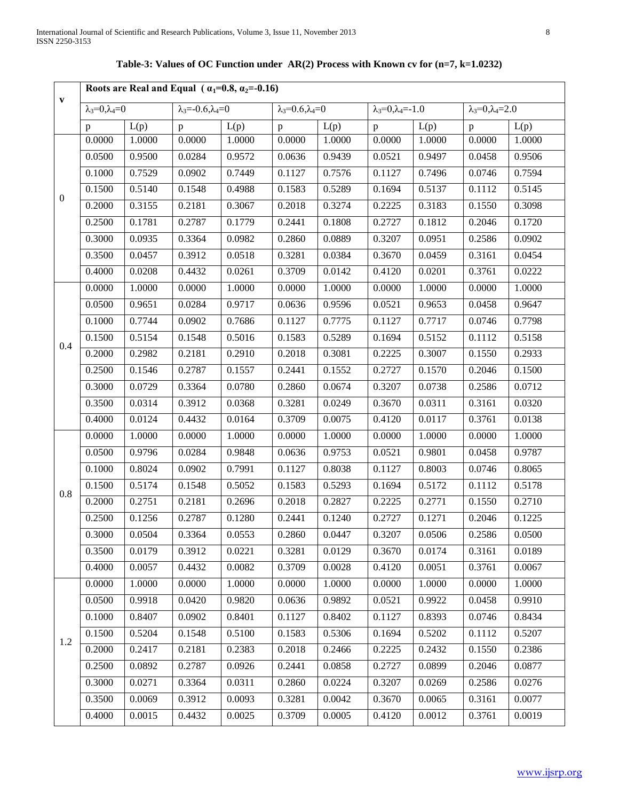|                  | Roots are Real and Equal ( $\alpha_1=0.8$ , $\alpha_2=0.16$ ) |        |                                   |        |                                  |        |                                   |        |                              |        |  |  |
|------------------|---------------------------------------------------------------|--------|-----------------------------------|--------|----------------------------------|--------|-----------------------------------|--------|------------------------------|--------|--|--|
| $\mathbf{v}$     | $\lambda_3=0, \lambda_4=0$                                    |        | $\lambda_3 = -0.6, \lambda_4 = 0$ |        | $\lambda_3 = 0.6, \lambda_4 = 0$ |        | $\lambda_3 = 0, \lambda_4 = -1.0$ |        | $\lambda_3=0, \lambda_4=2.0$ |        |  |  |
|                  | $\mathbf{p}$                                                  | L(p)   | $\mathbf{p}$                      | L(p)   | $\mathbf{p}$                     | L(p)   | $\mathbf{p}$                      | L(p)   | $\mathbf{p}$                 | L(p)   |  |  |
|                  | 0.0000                                                        | 1.0000 | 0.0000                            | 1.0000 | 0.0000                           | 1.0000 | 0.0000                            | 1.0000 | 0.0000                       | 1.0000 |  |  |
|                  | 0.0500                                                        | 0.9500 | 0.0284                            | 0.9572 | 0.0636                           | 0.9439 | 0.0521                            | 0.9497 | 0.0458                       | 0.9506 |  |  |
|                  | 0.1000                                                        | 0.7529 | 0.0902                            | 0.7449 | 0.1127                           | 0.7576 | 0.1127                            | 0.7496 | 0.0746                       | 0.7594 |  |  |
| $\boldsymbol{0}$ | 0.1500                                                        | 0.5140 | 0.1548                            | 0.4988 | 0.1583                           | 0.5289 | 0.1694                            | 0.5137 | 0.1112                       | 0.5145 |  |  |
|                  | 0.2000                                                        | 0.3155 | 0.2181                            | 0.3067 | 0.2018                           | 0.3274 | 0.2225                            | 0.3183 | 0.1550                       | 0.3098 |  |  |
|                  | 0.2500                                                        | 0.1781 | 0.2787                            | 0.1779 | 0.2441                           | 0.1808 | 0.2727                            | 0.1812 | 0.2046                       | 0.1720 |  |  |
|                  | 0.3000                                                        | 0.0935 | 0.3364                            | 0.0982 | 0.2860                           | 0.0889 | 0.3207                            | 0.0951 | 0.2586                       | 0.0902 |  |  |
|                  | 0.3500                                                        | 0.0457 | 0.3912                            | 0.0518 | 0.3281                           | 0.0384 | 0.3670                            | 0.0459 | 0.3161                       | 0.0454 |  |  |
|                  | 0.4000                                                        | 0.0208 | 0.4432                            | 0.0261 | 0.3709                           | 0.0142 | 0.4120                            | 0.0201 | 0.3761                       | 0.0222 |  |  |
|                  | 0.0000                                                        | 1.0000 | 0.0000                            | 1.0000 | 0.0000                           | 1.0000 | 0.0000                            | 1.0000 | 0.0000                       | 1.0000 |  |  |
|                  | 0.0500                                                        | 0.9651 | 0.0284                            | 0.9717 | 0.0636                           | 0.9596 | 0.0521                            | 0.9653 | 0.0458                       | 0.9647 |  |  |
|                  | 0.1000                                                        | 0.7744 | 0.0902                            | 0.7686 | 0.1127                           | 0.7775 | 0.1127                            | 0.7717 | 0.0746                       | 0.7798 |  |  |
| 0.4              | 0.1500                                                        | 0.5154 | 0.1548                            | 0.5016 | 0.1583                           | 0.5289 | 0.1694                            | 0.5152 | 0.1112                       | 0.5158 |  |  |
|                  | 0.2000                                                        | 0.2982 | 0.2181                            | 0.2910 | 0.2018                           | 0.3081 | 0.2225                            | 0.3007 | 0.1550                       | 0.2933 |  |  |
|                  | 0.2500                                                        | 0.1546 | 0.2787                            | 0.1557 | 0.2441                           | 0.1552 | 0.2727                            | 0.1570 | 0.2046                       | 0.1500 |  |  |
|                  | 0.3000                                                        | 0.0729 | 0.3364                            | 0.0780 | 0.2860                           | 0.0674 | 0.3207                            | 0.0738 | 0.2586                       | 0.0712 |  |  |
|                  | 0.3500                                                        | 0.0314 | 0.3912                            | 0.0368 | 0.3281                           | 0.0249 | 0.3670                            | 0.0311 | 0.3161                       | 0.0320 |  |  |
|                  | 0.4000                                                        | 0.0124 | 0.4432                            | 0.0164 | 0.3709                           | 0.0075 | 0.4120                            | 0.0117 | 0.3761                       | 0.0138 |  |  |
|                  | 0.0000                                                        | 1.0000 | 0.0000                            | 1.0000 | 0.0000                           | 1.0000 | 0.0000                            | 1.0000 | 0.0000                       | 1.0000 |  |  |
|                  | 0.0500                                                        | 0.9796 | 0.0284                            | 0.9848 | 0.0636                           | 0.9753 | 0.0521                            | 0.9801 | 0.0458                       | 0.9787 |  |  |
|                  | 0.1000                                                        | 0.8024 | 0.0902                            | 0.7991 | 0.1127                           | 0.8038 | 0.1127                            | 0.8003 | 0.0746                       | 0.8065 |  |  |
| 0.8              | 0.1500                                                        | 0.5174 | 0.1548                            | 0.5052 | 0.1583                           | 0.5293 | 0.1694                            | 0.5172 | 0.1112                       | 0.5178 |  |  |
|                  | 0.2000                                                        | 0.2751 | 0.2181                            | 0.2696 | 0.2018                           | 0.2827 | 0.2225                            | 0.2771 | 0.1550                       | 0.2710 |  |  |
|                  | 0.2500                                                        | 0.1256 | 0.2787                            | 0.1280 | 0.2441                           | 0.1240 | 0.2727                            | 0.1271 | 0.2046                       | 0.1225 |  |  |
|                  | 0.3000                                                        | 0.0504 | 0.3364                            | 0.0553 | 0.2860                           | 0.0447 | 0.3207                            | 0.0506 | 0.2586                       | 0.0500 |  |  |
|                  | 0.3500                                                        | 0.0179 | 0.3912                            | 0.0221 | 0.3281                           | 0.0129 | 0.3670                            | 0.0174 | 0.3161                       | 0.0189 |  |  |
|                  | 0.4000                                                        | 0.0057 | 0.4432                            | 0.0082 | 0.3709                           | 0.0028 | 0.4120                            | 0.0051 | 0.3761                       | 0.0067 |  |  |
|                  | 0.0000                                                        | 1.0000 | 0.0000                            | 1.0000 | 0.0000                           | 1.0000 | 0.0000                            | 1.0000 | 0.0000                       | 1.0000 |  |  |
|                  | 0.0500                                                        | 0.9918 | 0.0420                            | 0.9820 | 0.0636                           | 0.9892 | 0.0521                            | 0.9922 | 0.0458                       | 0.9910 |  |  |
|                  | 0.1000                                                        | 0.8407 | 0.0902                            | 0.8401 | 0.1127                           | 0.8402 | 0.1127                            | 0.8393 | 0.0746                       | 0.8434 |  |  |
| 1.2              | 0.1500                                                        | 0.5204 | 0.1548                            | 0.5100 | 0.1583                           | 0.5306 | 0.1694                            | 0.5202 | 0.1112                       | 0.5207 |  |  |
|                  | 0.2000                                                        | 0.2417 | 0.2181                            | 0.2383 | 0.2018                           | 0.2466 | 0.2225                            | 0.2432 | 0.1550                       | 0.2386 |  |  |
|                  | 0.2500                                                        | 0.0892 | 0.2787                            | 0.0926 | 0.2441                           | 0.0858 | 0.2727                            | 0.0899 | 0.2046                       | 0.0877 |  |  |
|                  | 0.3000                                                        | 0.0271 | 0.3364                            | 0.0311 | 0.2860                           | 0.0224 | 0.3207                            | 0.0269 | 0.2586                       | 0.0276 |  |  |
|                  | 0.3500                                                        | 0.0069 | 0.3912                            | 0.0093 | 0.3281                           | 0.0042 | 0.3670                            | 0.0065 | 0.3161                       | 0.0077 |  |  |
|                  | 0.4000                                                        | 0.0015 | 0.4432                            | 0.0025 | 0.3709                           | 0.0005 | 0.4120                            | 0.0012 | 0.3761                       | 0.0019 |  |  |

**Table-3: Values of OC Function under AR(2) Process with Known cv for (n=7, k=1.0232)**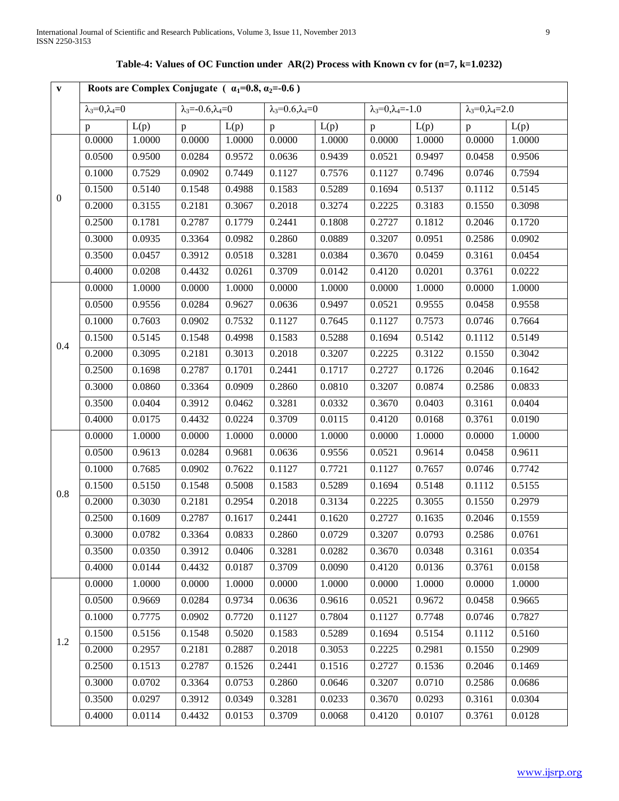| $\mathbf{V}$     | Roots are Complex Conjugate $\overline{(u_1=0.8, u_2=-0.6)}$ |        |                                   |        |                              |        |                                   |        |                                  |        |
|------------------|--------------------------------------------------------------|--------|-----------------------------------|--------|------------------------------|--------|-----------------------------------|--------|----------------------------------|--------|
|                  | $\lambda_3=0, \lambda_4=0$                                   |        | $\lambda_3 = -0.6, \lambda_4 = 0$ |        | $\lambda_3=0.6, \lambda_4=0$ |        | $\lambda_3 = 0, \lambda_4 = -1.0$ |        | $\lambda_3 = 0, \lambda_4 = 2.0$ |        |
|                  | $\mathbf{p}$                                                 | L(p)   | $\mathbf{p}$                      | L(p)   | p                            | L(p)   | p                                 | L(p)   | $\mathbf{p}$                     | L(p)   |
|                  | 0.0000                                                       | 1.0000 | 0.0000                            | 1.0000 | 0.0000                       | 1.0000 | 0.0000                            | 1.0000 | 0.0000                           | 1.0000 |
|                  | 0.0500                                                       | 0.9500 | 0.0284                            | 0.9572 | 0.0636                       | 0.9439 | 0.0521                            | 0.9497 | 0.0458                           | 0.9506 |
|                  | 0.1000                                                       | 0.7529 | 0.0902                            | 0.7449 | 0.1127                       | 0.7576 | 0.1127                            | 0.7496 | 0.0746                           | 0.7594 |
| $\boldsymbol{0}$ | 0.1500                                                       | 0.5140 | 0.1548                            | 0.4988 | 0.1583                       | 0.5289 | 0.1694                            | 0.5137 | 0.1112                           | 0.5145 |
|                  | 0.2000                                                       | 0.3155 | 0.2181                            | 0.3067 | 0.2018                       | 0.3274 | 0.2225                            | 0.3183 | 0.1550                           | 0.3098 |
|                  | 0.2500                                                       | 0.1781 | 0.2787                            | 0.1779 | 0.2441                       | 0.1808 | 0.2727                            | 0.1812 | 0.2046                           | 0.1720 |
|                  | 0.3000                                                       | 0.0935 | 0.3364                            | 0.0982 | 0.2860                       | 0.0889 | 0.3207                            | 0.0951 | 0.2586                           | 0.0902 |
|                  | 0.3500                                                       | 0.0457 | 0.3912                            | 0.0518 | 0.3281                       | 0.0384 | 0.3670                            | 0.0459 | 0.3161                           | 0.0454 |
|                  | 0.4000                                                       | 0.0208 | 0.4432                            | 0.0261 | 0.3709                       | 0.0142 | 0.4120                            | 0.0201 | 0.3761                           | 0.0222 |
|                  | 0.0000                                                       | 1.0000 | 0.0000                            | 1.0000 | 0.0000                       | 1.0000 | 0.0000                            | 1.0000 | 0.0000                           | 1.0000 |
|                  | 0.0500                                                       | 0.9556 | 0.0284                            | 0.9627 | 0.0636                       | 0.9497 | 0.0521                            | 0.9555 | 0.0458                           | 0.9558 |
|                  | 0.1000                                                       | 0.7603 | 0.0902                            | 0.7532 | 0.1127                       | 0.7645 | 0.1127                            | 0.7573 | 0.0746                           | 0.7664 |
|                  | 0.1500                                                       | 0.5145 | 0.1548                            | 0.4998 | 0.1583                       | 0.5288 | 0.1694                            | 0.5142 | 0.1112                           | 0.5149 |
| 0.4              | 0.2000                                                       | 0.3095 | 0.2181                            | 0.3013 | 0.2018                       | 0.3207 | 0.2225                            | 0.3122 | 0.1550                           | 0.3042 |
|                  | 0.2500                                                       | 0.1698 | 0.2787                            | 0.1701 | 0.2441                       | 0.1717 | 0.2727                            | 0.1726 | 0.2046                           | 0.1642 |
|                  | 0.3000                                                       | 0.0860 | 0.3364                            | 0.0909 | 0.2860                       | 0.0810 | 0.3207                            | 0.0874 | 0.2586                           | 0.0833 |
|                  | 0.3500                                                       | 0.0404 | 0.3912                            | 0.0462 | 0.3281                       | 0.0332 | 0.3670                            | 0.0403 | 0.3161                           | 0.0404 |
|                  | 0.4000                                                       | 0.0175 | 0.4432                            | 0.0224 | 0.3709                       | 0.0115 | 0.4120                            | 0.0168 | 0.3761                           | 0.0190 |
|                  | 0.0000                                                       | 1.0000 | 0.0000                            | 1.0000 | 0.0000                       | 1.0000 | 0.0000                            | 1.0000 | 0.0000                           | 1.0000 |
|                  | 0.0500                                                       | 0.9613 | 0.0284                            | 0.9681 | 0.0636                       | 0.9556 | 0.0521                            | 0.9614 | 0.0458                           | 0.9611 |
|                  | 0.1000                                                       | 0.7685 | 0.0902                            | 0.7622 | 0.1127                       | 0.7721 | 0.1127                            | 0.7657 | 0.0746                           | 0.7742 |
|                  | 0.1500                                                       | 0.5150 | 0.1548                            | 0.5008 | 0.1583                       | 0.5289 | 0.1694                            | 0.5148 | 0.1112                           | 0.5155 |
| 0.8              | 0.2000                                                       | 0.3030 | 0.2181                            | 0.2954 | 0.2018                       | 0.3134 | 0.2225                            | 0.3055 | 0.1550                           | 0.2979 |
|                  | 0.2500                                                       | 0.1609 | 0.2787                            | 0.1617 | 0.2441                       | 0.1620 | 0.2727                            | 0.1635 | 0.2046                           | 0.1559 |
|                  | 0.3000                                                       | 0.0782 | 0.3364                            | 0.0833 | 0.2860                       | 0.0729 | 0.3207                            | 0.0793 | 0.2586                           | 0.0761 |
|                  | 0.3500                                                       | 0.0350 | 0.3912                            | 0.0406 | 0.3281                       | 0.0282 | 0.3670                            | 0.0348 | 0.3161                           | 0.0354 |
|                  | 0.4000                                                       | 0.0144 | 0.4432                            | 0.0187 | 0.3709                       | 0.0090 | 0.4120                            | 0.0136 | 0.3761                           | 0.0158 |
|                  | 0.0000                                                       | 1.0000 | 0.0000                            | 1.0000 | 0.0000                       | 1.0000 | 0.0000                            | 1.0000 | 0.0000                           | 1.0000 |
|                  | 0.0500                                                       | 0.9669 | 0.0284                            | 0.9734 | 0.0636                       | 0.9616 | 0.0521                            | 0.9672 | 0.0458                           | 0.9665 |
|                  | 0.1000                                                       | 0.7775 | 0.0902                            | 0.7720 | 0.1127                       | 0.7804 | 0.1127                            | 0.7748 | 0.0746                           | 0.7827 |
|                  | 0.1500                                                       | 0.5156 | 0.1548                            | 0.5020 | 0.1583                       | 0.5289 | 0.1694                            | 0.5154 | 0.1112                           | 0.5160 |
| 1.2              | 0.2000                                                       | 0.2957 | 0.2181                            | 0.2887 | 0.2018                       | 0.3053 | 0.2225                            | 0.2981 | 0.1550                           | 0.2909 |
|                  | 0.2500                                                       | 0.1513 | 0.2787                            | 0.1526 | 0.2441                       | 0.1516 | 0.2727                            | 0.1536 | 0.2046                           | 0.1469 |
|                  | 0.3000                                                       | 0.0702 | 0.3364                            | 0.0753 | 0.2860                       | 0.0646 | 0.3207                            | 0.0710 | 0.2586                           | 0.0686 |
|                  | 0.3500                                                       | 0.0297 | 0.3912                            | 0.0349 | 0.3281                       | 0.0233 | 0.3670                            | 0.0293 | 0.3161                           | 0.0304 |
|                  | 0.4000                                                       | 0.0114 | 0.4432                            | 0.0153 | 0.3709                       | 0.0068 | 0.4120                            | 0.0107 | 0.3761                           | 0.0128 |

**Table-4: Values of OC Function under AR(2) Process with Known cv for (n=7, k=1.0232)**